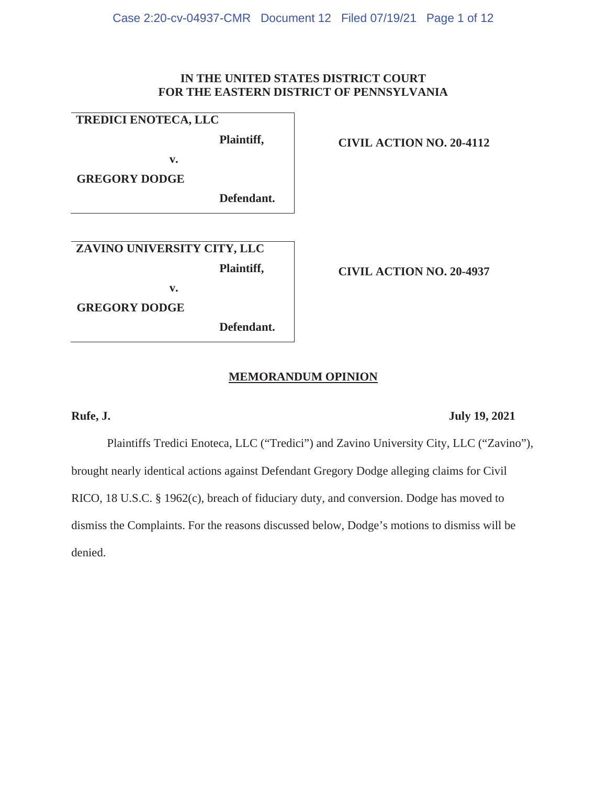# **IN THE UNITED STATES DISTRICT COURT FOR THE EASTERN DISTRICT OF PENNSYLVANIA**

### **TREDICI ENOTECA, LLC**

**Plaintiff,** 

**CIVIL ACTION NO. 20-4112**

**GREGORY DODGE** 

**Defendant.**

**ZAVINO UNIVERSITY CITY, LLC** 

**v.** 

**v.** 

**Plaintiff,** 

**CIVIL ACTION NO. 20-4937**

**GREGORY DODGE** 

**Defendant.**

# **MEMORANDUM OPINION**

# **Rufe, J. July 19, 2021**

Plaintiffs Tredici Enoteca, LLC ("Tredici") and Zavino University City, LLC ("Zavino"), brought nearly identical actions against Defendant Gregory Dodge alleging claims for Civil RICO, 18 U.S.C. § 1962(c), breach of fiduciary duty, and conversion. Dodge has moved to dismiss the Complaints. For the reasons discussed below, Dodge's motions to dismiss will be denied.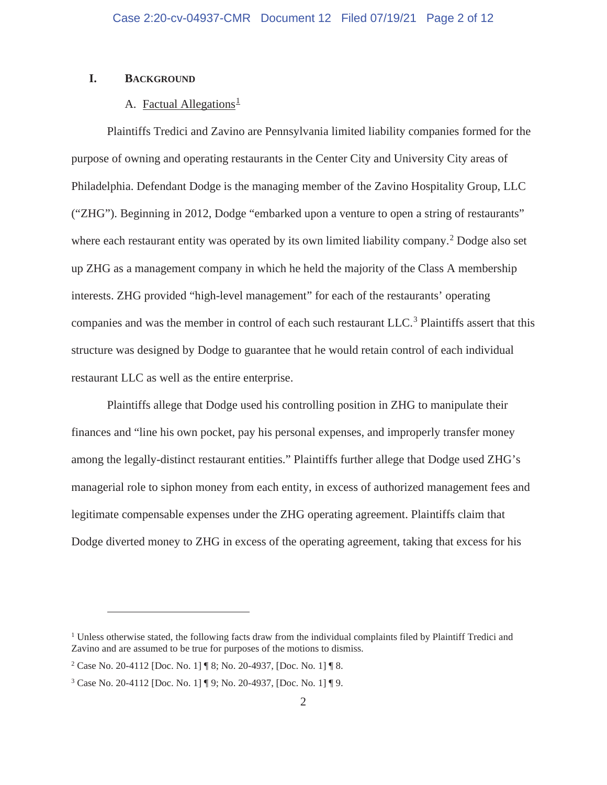### **I. BACKGROUND**

# A. Factual Allegations<sup>1</sup>

Plaintiffs Tredici and Zavino are Pennsylvania limited liability companies formed for the purpose of owning and operating restaurants in the Center City and University City areas of Philadelphia. Defendant Dodge is the managing member of the Zavino Hospitality Group, LLC ("ZHG"). Beginning in 2012, Dodge "embarked upon a venture to open a string of restaurants" where each restaurant entity was operated by its own limited liability company.<sup>2</sup> Dodge also set up ZHG as a management company in which he held the majority of the Class A membership interests. ZHG provided "high-level management" for each of the restaurants' operating companies and was the member in control of each such restaurant LLC.<sup>3</sup> Plaintiffs assert that this structure was designed by Dodge to guarantee that he would retain control of each individual restaurant LLC as well as the entire enterprise.

Plaintiffs allege that Dodge used his controlling position in ZHG to manipulate their finances and "line his own pocket, pay his personal expenses, and improperly transfer money among the legally-distinct restaurant entities." Plaintiffs further allege that Dodge used ZHG's managerial role to siphon money from each entity, in excess of authorized management fees and legitimate compensable expenses under the ZHG operating agreement. Plaintiffs claim that Dodge diverted money to ZHG in excess of the operating agreement, taking that excess for his

<sup>&</sup>lt;sup>1</sup> Unless otherwise stated, the following facts draw from the individual complaints filed by Plaintiff Tredici and Zavino and are assumed to be true for purposes of the motions to dismiss.

<sup>2</sup> Case No. 20-4112 [Doc. No. 1] ¶ 8; No. 20-4937, [Doc. No. 1] ¶ 8.

<sup>3</sup> Case No. 20-4112 [Doc. No. 1] ¶ 9; No. 20-4937, [Doc. No. 1] ¶ 9.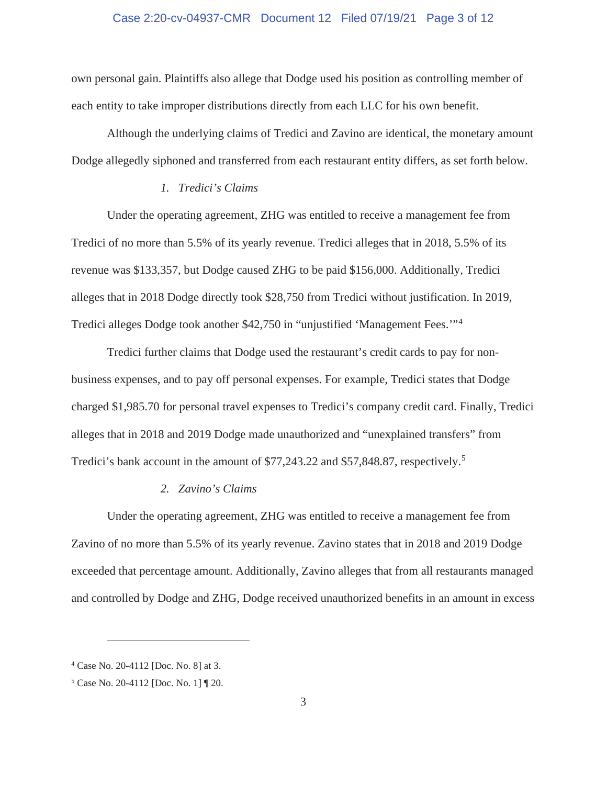#### Case 2:20-cv-04937-CMR Document 12 Filed 07/19/21 Page 3 of 12

own personal gain. Plaintiffs also allege that Dodge used his position as controlling member of each entity to take improper distributions directly from each LLC for his own benefit.

Although the underlying claims of Tredici and Zavino are identical, the monetary amount Dodge allegedly siphoned and transferred from each restaurant entity differs, as set forth below.

#### *1. Tredici's Claims*

Under the operating agreement, ZHG was entitled to receive a management fee from Tredici of no more than 5.5% of its yearly revenue. Tredici alleges that in 2018, 5.5% of its revenue was \$133,357, but Dodge caused ZHG to be paid \$156,000. Additionally, Tredici alleges that in 2018 Dodge directly took \$28,750 from Tredici without justification. In 2019, Tredici alleges Dodge took another \$42,750 in "unjustified 'Management Fees.'"<sup>4</sup>

Tredici further claims that Dodge used the restaurant's credit cards to pay for nonbusiness expenses, and to pay off personal expenses. For example, Tredici states that Dodge charged \$1,985.70 for personal travel expenses to Tredici's company credit card. Finally, Tredici alleges that in 2018 and 2019 Dodge made unauthorized and "unexplained transfers" from Tredici's bank account in the amount of \$77,243.22 and \$57,848.87, respectively.<sup>5</sup>

#### *2. Zavino's Claims*

Under the operating agreement, ZHG was entitled to receive a management fee from Zavino of no more than 5.5% of its yearly revenue. Zavino states that in 2018 and 2019 Dodge exceeded that percentage amount. Additionally, Zavino alleges that from all restaurants managed and controlled by Dodge and ZHG, Dodge received unauthorized benefits in an amount in excess

<sup>4</sup> Case No. 20-4112 [Doc. No. 8] at 3.

<sup>5</sup> Case No. 20-4112 [Doc. No. 1] ¶ 20.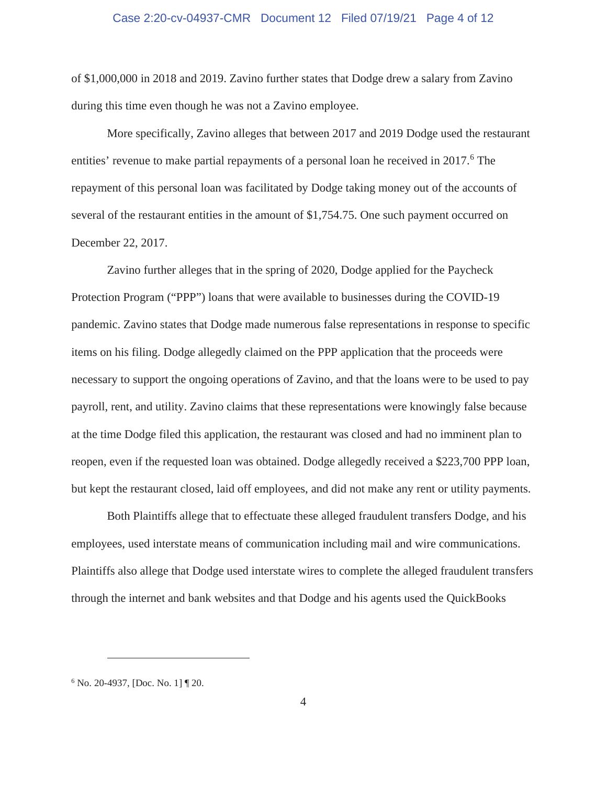#### Case 2:20-cv-04937-CMR Document 12 Filed 07/19/21 Page 4 of 12

of \$1,000,000 in 2018 and 2019. Zavino further states that Dodge drew a salary from Zavino during this time even though he was not a Zavino employee.

More specifically, Zavino alleges that between 2017 and 2019 Dodge used the restaurant entities' revenue to make partial repayments of a personal loan he received in 2017.<sup>6</sup> The repayment of this personal loan was facilitated by Dodge taking money out of the accounts of several of the restaurant entities in the amount of \$1,754.75. One such payment occurred on December 22, 2017.

Zavino further alleges that in the spring of 2020, Dodge applied for the Paycheck Protection Program ("PPP") loans that were available to businesses during the COVID-19 pandemic. Zavino states that Dodge made numerous false representations in response to specific items on his filing. Dodge allegedly claimed on the PPP application that the proceeds were necessary to support the ongoing operations of Zavino, and that the loans were to be used to pay payroll, rent, and utility. Zavino claims that these representations were knowingly false because at the time Dodge filed this application, the restaurant was closed and had no imminent plan to reopen, even if the requested loan was obtained. Dodge allegedly received a \$223,700 PPP loan, but kept the restaurant closed, laid off employees, and did not make any rent or utility payments.

Both Plaintiffs allege that to effectuate these alleged fraudulent transfers Dodge, and his employees, used interstate means of communication including mail and wire communications. Plaintiffs also allege that Dodge used interstate wires to complete the alleged fraudulent transfers through the internet and bank websites and that Dodge and his agents used the QuickBooks

<sup>6</sup> No. 20-4937, [Doc. No. 1] ¶ 20.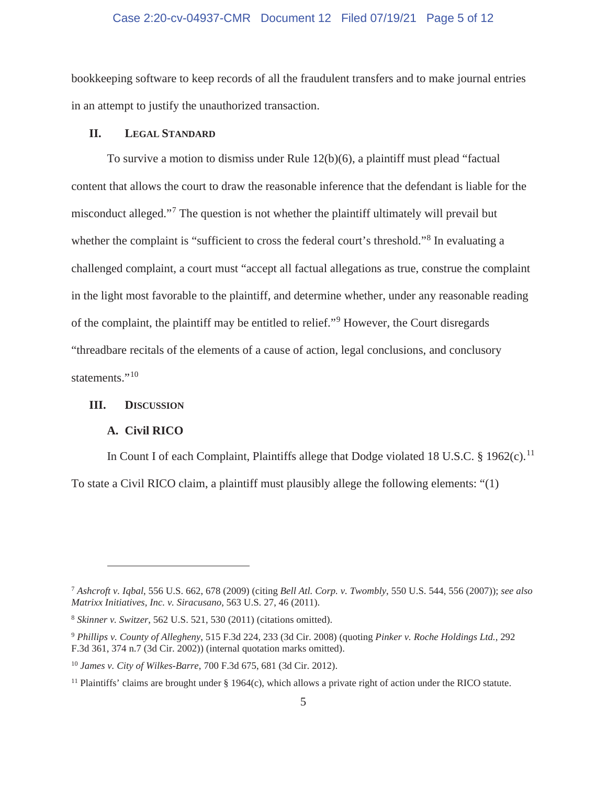#### Case 2:20-cv-04937-CMR Document 12 Filed 07/19/21 Page 5 of 12

bookkeeping software to keep records of all the fraudulent transfers and to make journal entries in an attempt to justify the unauthorized transaction.

#### **II. LEGAL STANDARD**

To survive a motion to dismiss under Rule 12(b)(6), a plaintiff must plead "factual content that allows the court to draw the reasonable inference that the defendant is liable for the misconduct alleged."<sup>7</sup> The question is not whether the plaintiff ultimately will prevail but whether the complaint is "sufficient to cross the federal court's threshold."<sup>8</sup> In evaluating a challenged complaint, a court must "accept all factual allegations as true, construe the complaint in the light most favorable to the plaintiff, and determine whether, under any reasonable reading of the complaint, the plaintiff may be entitled to relief."<sup>9</sup> However, the Court disregards "threadbare recitals of the elements of a cause of action, legal conclusions, and conclusory statements."<sup>10</sup>

### **III. DISCUSSION**

#### **A. Civil RICO**

In Count I of each Complaint, Plaintiffs allege that Dodge violated 18 U.S.C. § 1962(c).<sup>11</sup> To state a Civil RICO claim, a plaintiff must plausibly allege the following elements: "(1)

<sup>7</sup> *Ashcroft v. Iqbal*, 556 U.S. 662, 678 (2009) (citing *Bell Atl. Corp. v. Twombly*, 550 U.S. 544, 556 (2007)); *see also Matrixx Initiatives, Inc. v. Siracusano*, 563 U.S. 27, 46 (2011).

<sup>8</sup> *Skinner v. Switzer*, 562 U.S. 521, 530 (2011) (citations omitted).

<sup>9</sup> *Phillips v. County of Allegheny*, 515 F.3d 224, 233 (3d Cir. 2008) (quoting *Pinker v. Roche Holdings Ltd.*, 292 F.3d 361, 374 n.7 (3d Cir. 2002)) (internal quotation marks omitted).

<sup>10</sup> *James v. City of Wilkes-Barre*, 700 F.3d 675, 681 (3d Cir. 2012).

<sup>&</sup>lt;sup>11</sup> Plaintiffs' claims are brought under  $\S$  1964(c), which allows a private right of action under the RICO statute.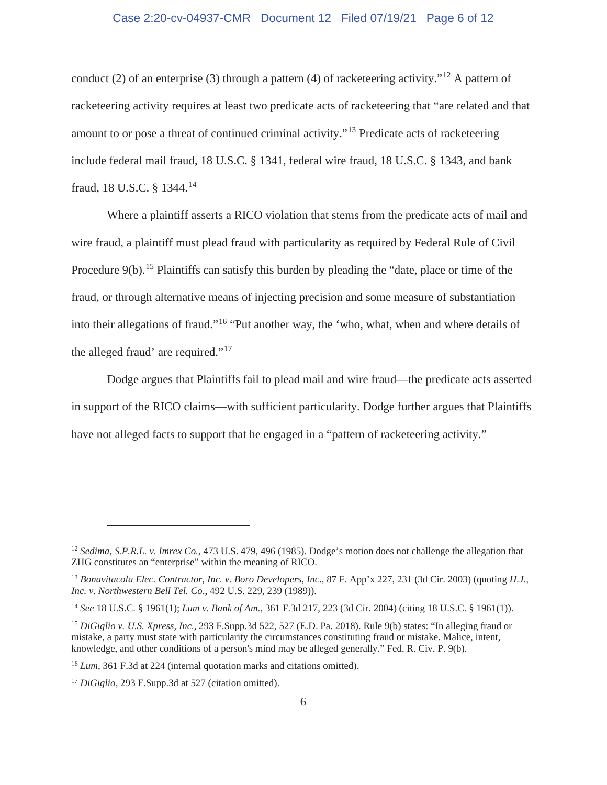#### Case 2:20-cv-04937-CMR Document 12 Filed 07/19/21 Page 6 of 12

conduct (2) of an enterprise (3) through a pattern (4) of racketeering activity."<sup>12</sup> A pattern of racketeering activity requires at least two predicate acts of racketeering that "are related and that amount to or pose a threat of continued criminal activity."13 Predicate acts of racketeering include federal mail fraud, 18 U.S.C. § 1341, federal wire fraud, 18 U.S.C. § 1343, and bank fraud, 18 U.S.C. § 1344.14

Where a plaintiff asserts a RICO violation that stems from the predicate acts of mail and wire fraud, a plaintiff must plead fraud with particularity as required by Federal Rule of Civil Procedure  $9(b)$ .<sup>15</sup> Plaintiffs can satisfy this burden by pleading the "date, place or time of the fraud, or through alternative means of injecting precision and some measure of substantiation into their allegations of fraud."16 "Put another way, the 'who, what, when and where details of the alleged fraud' are required."<sup>17</sup>

Dodge argues that Plaintiffs fail to plead mail and wire fraud—the predicate acts asserted in support of the RICO claims—with sufficient particularity. Dodge further argues that Plaintiffs have not alleged facts to support that he engaged in a "pattern of racketeering activity."

<sup>12</sup> *Sedima, S.P.R.L. v. Imrex Co.*, 473 U.S. 479, 496 (1985). Dodge's motion does not challenge the allegation that ZHG constitutes an "enterprise" within the meaning of RICO.

<sup>13</sup> *Bonavitacola Elec. Contractor, Inc. v. Boro Developers, Inc*., 87 F. App'x 227, 231 (3d Cir. 2003) (quoting *H.J., Inc. v. Northwestern Bell Tel. Co*., 492 U.S. 229, 239 (1989)).

<sup>14</sup> *See* 18 U.S.C. § 1961(1); *Lum v. Bank of Am*., 361 F.3d 217, 223 (3d Cir. 2004) (citing 18 U.S.C. § 1961(1)).

<sup>15</sup> *DiGiglio v. U.S. Xpress, Inc.*, 293 F.Supp.3d 522, 527 (E.D. Pa. 2018). Rule 9(b) states: "In alleging fraud or mistake, a party must state with particularity the circumstances constituting fraud or mistake. Malice, intent, knowledge, and other conditions of a person's mind may be alleged generally." Fed. R. Civ. P. 9(b).

<sup>&</sup>lt;sup>16</sup> *Lum*, 361 F.3d at 224 (internal quotation marks and citations omitted).

<sup>17</sup> *DiGiglio,* 293 F.Supp.3d at 527 (citation omitted).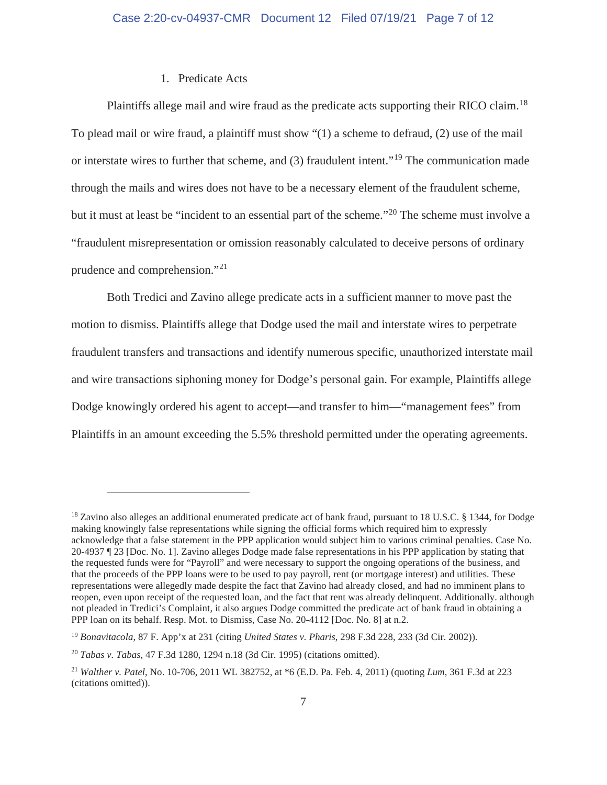#### 1. Predicate Acts

Plaintiffs allege mail and wire fraud as the predicate acts supporting their RICO claim.<sup>18</sup> To plead mail or wire fraud, a plaintiff must show "(1) a scheme to defraud, (2) use of the mail or interstate wires to further that scheme, and (3) fraudulent intent."<sup>19</sup> The communication made through the mails and wires does not have to be a necessary element of the fraudulent scheme, but it must at least be "incident to an essential part of the scheme."20 The scheme must involve a "fraudulent misrepresentation or omission reasonably calculated to deceive persons of ordinary prudence and comprehension."<sup>21</sup>

Both Tredici and Zavino allege predicate acts in a sufficient manner to move past the motion to dismiss. Plaintiffs allege that Dodge used the mail and interstate wires to perpetrate fraudulent transfers and transactions and identify numerous specific, unauthorized interstate mail and wire transactions siphoning money for Dodge's personal gain. For example, Plaintiffs allege Dodge knowingly ordered his agent to accept—and transfer to him—"management fees" from Plaintiffs in an amount exceeding the 5.5% threshold permitted under the operating agreements.

<sup>&</sup>lt;sup>18</sup> Zavino also alleges an additional enumerated predicate act of bank fraud, pursuant to 18 U.S.C. § 1344, for Dodge making knowingly false representations while signing the official forms which required him to expressly acknowledge that a false statement in the PPP application would subject him to various criminal penalties. Case No. 20-4937 ¶ 23 [Doc. No. 1]. Zavino alleges Dodge made false representations in his PPP application by stating that the requested funds were for "Payroll" and were necessary to support the ongoing operations of the business, and that the proceeds of the PPP loans were to be used to pay payroll, rent (or mortgage interest) and utilities. These representations were allegedly made despite the fact that Zavino had already closed, and had no imminent plans to reopen, even upon receipt of the requested loan, and the fact that rent was already delinquent. Additionally. although not pleaded in Tredici's Complaint, it also argues Dodge committed the predicate act of bank fraud in obtaining a PPP loan on its behalf. Resp. Mot. to Dismiss, Case No. 20-4112 [Doc. No. 8] at n.2.

<sup>19</sup> *Bonavitacola*, 87 F. App'x at 231 (citing *United States v. Pharis*, 298 F.3d 228, 233 (3d Cir. 2002)).

<sup>20</sup> *Tabas v. Tabas*, 47 F.3d 1280, 1294 n.18 (3d Cir. 1995) (citations omitted).

<sup>21</sup> *Walther v. Patel*, No. 10-706, 2011 WL 382752, at \*6 (E.D. Pa. Feb. 4, 2011) (quoting *Lum*, 361 F.3d at 223 (citations omitted)).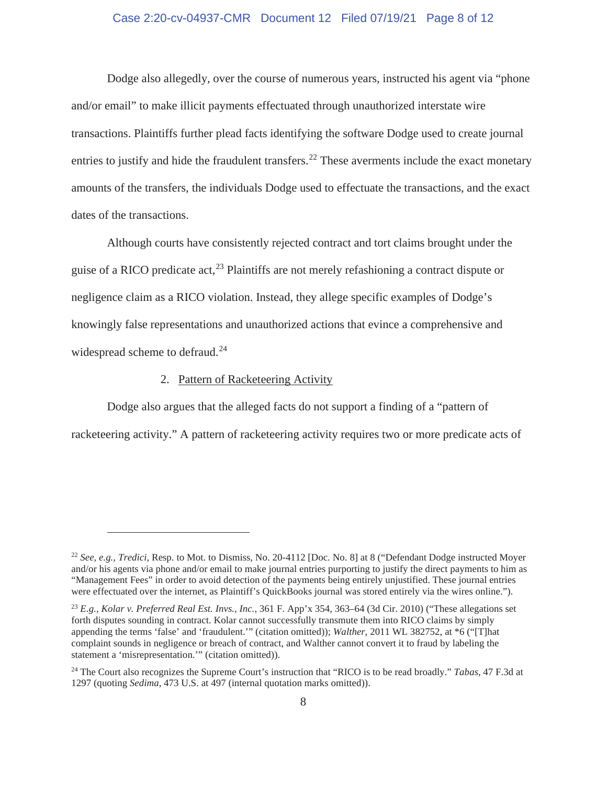### Case 2:20-cv-04937-CMR Document 12 Filed 07/19/21 Page 8 of 12

Dodge also allegedly, over the course of numerous years, instructed his agent via "phone and/or email" to make illicit payments effectuated through unauthorized interstate wire transactions. Plaintiffs further plead facts identifying the software Dodge used to create journal entries to justify and hide the fraudulent transfers.<sup>22</sup> These averments include the exact monetary amounts of the transfers, the individuals Dodge used to effectuate the transactions, and the exact dates of the transactions.

Although courts have consistently rejected contract and tort claims brought under the guise of a RICO predicate act,  $^{23}$  Plaintiffs are not merely refashioning a contract dispute or negligence claim as a RICO violation. Instead, they allege specific examples of Dodge's knowingly false representations and unauthorized actions that evince a comprehensive and widespread scheme to defraud.<sup>24</sup>

#### 2. Pattern of Racketeering Activity

Dodge also argues that the alleged facts do not support a finding of a "pattern of racketeering activity." A pattern of racketeering activity requires two or more predicate acts of

<sup>22</sup> *See, e.g., Tredici,* Resp. to Mot. to Dismiss, No. 20-4112 [Doc. No. 8] at 8 ("Defendant Dodge instructed Moyer and/or his agents via phone and/or email to make journal entries purporting to justify the direct payments to him as "Management Fees" in order to avoid detection of the payments being entirely unjustified. These journal entries were effectuated over the internet, as Plaintiff's QuickBooks journal was stored entirely via the wires online.").

<sup>23</sup> *E.g., Kolar v. Preferred Real Est. Invs., Inc.*, 361 F. App'x 354, 363–64 (3d Cir. 2010) ("These allegations set forth disputes sounding in contract. Kolar cannot successfully transmute them into RICO claims by simply appending the terms 'false' and 'fraudulent.'" (citation omitted)); *Walther*, 2011 WL 382752, at \*6 ("[T]hat complaint sounds in negligence or breach of contract, and Walther cannot convert it to fraud by labeling the statement a 'misrepresentation.'" (citation omitted)).

<sup>24</sup> The Court also recognizes the Supreme Court's instruction that "RICO is to be read broadly." *Tabas*, 47 F.3d at 1297 (quoting *Sedima*, 473 U.S. at 497 (internal quotation marks omitted)).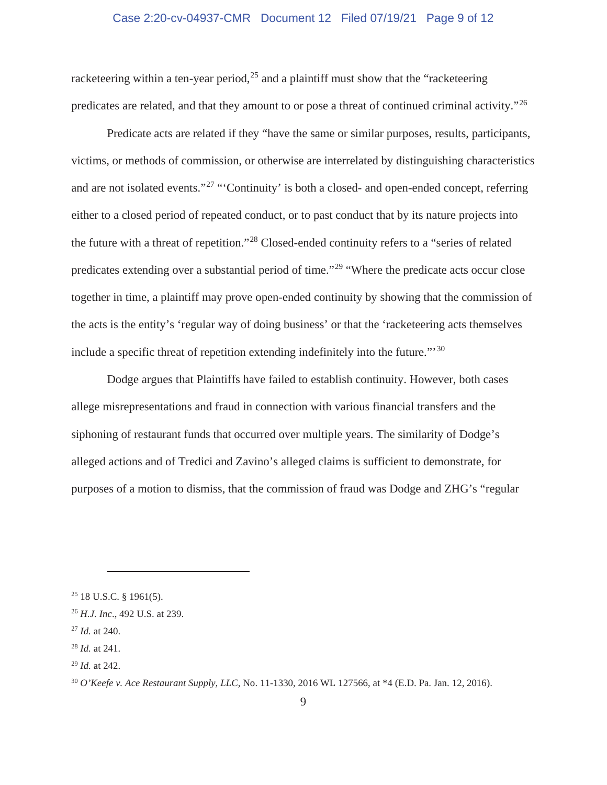### Case 2:20-cv-04937-CMR Document 12 Filed 07/19/21 Page 9 of 12

racketeering within a ten-year period,<sup>25</sup> and a plaintiff must show that the "racketeering" predicates are related, and that they amount to or pose a threat of continued criminal activity."<sup>26</sup>

Predicate acts are related if they "have the same or similar purposes, results, participants, victims, or methods of commission, or otherwise are interrelated by distinguishing characteristics and are not isolated events."<sup>27</sup> "Continuity' is both a closed- and open-ended concept, referring either to a closed period of repeated conduct, or to past conduct that by its nature projects into the future with a threat of repetition."28 Closed-ended continuity refers to a "series of related predicates extending over a substantial period of time."29 "Where the predicate acts occur close together in time, a plaintiff may prove open-ended continuity by showing that the commission of the acts is the entity's 'regular way of doing business' or that the 'racketeering acts themselves include a specific threat of repetition extending indefinitely into the future."'<sup>30</sup>

Dodge argues that Plaintiffs have failed to establish continuity. However, both cases allege misrepresentations and fraud in connection with various financial transfers and the siphoning of restaurant funds that occurred over multiple years. The similarity of Dodge's alleged actions and of Tredici and Zavino's alleged claims is sufficient to demonstrate, for purposes of a motion to dismiss, that the commission of fraud was Dodge and ZHG's "regular

 $25$  18 U.S.C. § 1961(5).

<sup>26</sup> *H.J. Inc*., 492 U.S. at 239.

<sup>27</sup> *Id.* at 240.

<sup>28</sup> *Id.* at 241.

<sup>29</sup> *Id.* at 242.

<sup>30</sup> *O'Keefe v. Ace Restaurant Supply, LLC,* No. 11-1330, 2016 WL 127566, at \*4 (E.D. Pa. Jan. 12, 2016).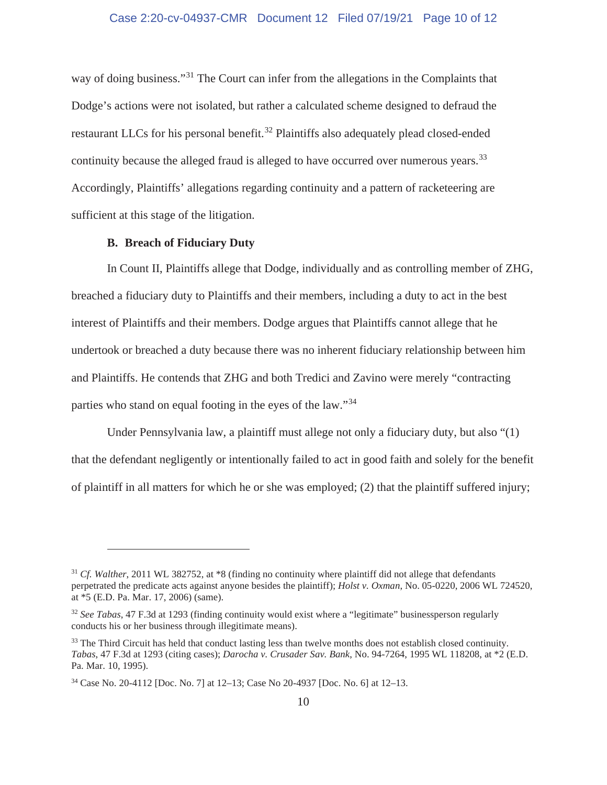way of doing business."<sup>31</sup> The Court can infer from the allegations in the Complaints that Dodge's actions were not isolated, but rather a calculated scheme designed to defraud the restaurant LLCs for his personal benefit.<sup>32</sup> Plaintiffs also adequately plead closed-ended continuity because the alleged fraud is alleged to have occurred over numerous years.<sup>33</sup> Accordingly, Plaintiffs' allegations regarding continuity and a pattern of racketeering are sufficient at this stage of the litigation.

#### **B. Breach of Fiduciary Duty**

In Count II, Plaintiffs allege that Dodge, individually and as controlling member of ZHG, breached a fiduciary duty to Plaintiffs and their members, including a duty to act in the best interest of Plaintiffs and their members. Dodge argues that Plaintiffs cannot allege that he undertook or breached a duty because there was no inherent fiduciary relationship between him and Plaintiffs. He contends that ZHG and both Tredici and Zavino were merely "contracting parties who stand on equal footing in the eyes of the law."<sup>34</sup>

Under Pennsylvania law, a plaintiff must allege not only a fiduciary duty, but also "(1) that the defendant negligently or intentionally failed to act in good faith and solely for the benefit of plaintiff in all matters for which he or she was employed; (2) that the plaintiff suffered injury;

<sup>31</sup> *Cf. Walther*, 2011 WL 382752, at \*8 (finding no continuity where plaintiff did not allege that defendants perpetrated the predicate acts against anyone besides the plaintiff); *Holst v. Oxman*, No. 05-0220, 2006 WL 724520, at \*5 (E.D. Pa. Mar. 17, 2006) (same).

<sup>32</sup> *See Tabas*, 47 F.3d at 1293 (finding continuity would exist where a "legitimate" businessperson regularly conducts his or her business through illegitimate means).

<sup>&</sup>lt;sup>33</sup> The Third Circuit has held that conduct lasting less than twelve months does not establish closed continuity. *Tabas*, 47 F.3d at 1293 (citing cases); *Darocha v. Crusader Sav. Bank*, No. 94-7264, 1995 WL 118208, at \*2 (E.D. Pa. Mar. 10, 1995).

<sup>34</sup> Case No. 20-4112 [Doc. No. 7] at 12–13; Case No 20-4937 [Doc. No. 6] at 12–13.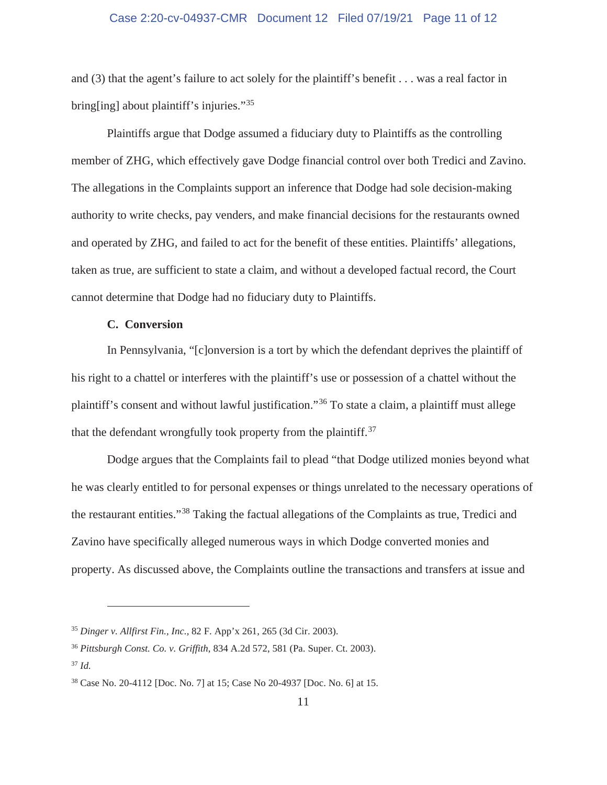#### Case 2:20-cv-04937-CMR Document 12 Filed 07/19/21 Page 11 of 12

and (3) that the agent's failure to act solely for the plaintiff's benefit . . . was a real factor in bring[ing] about plaintiff's injuries."<sup>35</sup>

 Plaintiffs argue that Dodge assumed a fiduciary duty to Plaintiffs as the controlling member of ZHG, which effectively gave Dodge financial control over both Tredici and Zavino. The allegations in the Complaints support an inference that Dodge had sole decision-making authority to write checks, pay venders, and make financial decisions for the restaurants owned and operated by ZHG, and failed to act for the benefit of these entities. Plaintiffs' allegations, taken as true, are sufficient to state a claim, and without a developed factual record, the Court cannot determine that Dodge had no fiduciary duty to Plaintiffs.

### **C. Conversion**

In Pennsylvania, "[c]onversion is a tort by which the defendant deprives the plaintiff of his right to a chattel or interferes with the plaintiff's use or possession of a chattel without the plaintiff's consent and without lawful justification."36 To state a claim, a plaintiff must allege that the defendant wrongfully took property from the plaintiff.<sup>37</sup>

Dodge argues that the Complaints fail to plead "that Dodge utilized monies beyond what he was clearly entitled to for personal expenses or things unrelated to the necessary operations of the restaurant entities."38 Taking the factual allegations of the Complaints as true, Tredici and Zavino have specifically alleged numerous ways in which Dodge converted monies and property. As discussed above, the Complaints outline the transactions and transfers at issue and

<sup>35</sup> *Dinger v. Allfirst Fin., Inc.,* 82 F. App'x 261, 265 (3d Cir. 2003).

<sup>36</sup> *Pittsburgh Const. Co. v. Griffith*, 834 A.2d 572, 581 (Pa. Super. Ct. 2003).

 $37$  *Id.* 

<sup>38</sup> Case No. 20-4112 [Doc. No. 7] at 15; Case No 20-4937 [Doc. No. 6] at 15.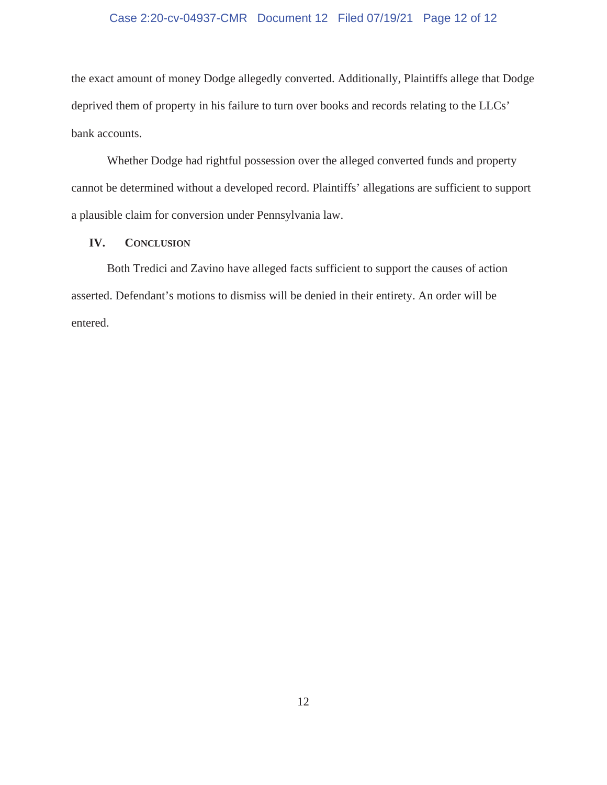# Case 2:20-cv-04937-CMR Document 12 Filed 07/19/21 Page 12 of 12

the exact amount of money Dodge allegedly converted. Additionally, Plaintiffs allege that Dodge deprived them of property in his failure to turn over books and records relating to the LLCs' bank accounts.

Whether Dodge had rightful possession over the alleged converted funds and property cannot be determined without a developed record. Plaintiffs' allegations are sufficient to support a plausible claim for conversion under Pennsylvania law.

#### **IV. CONCLUSION**

Both Tredici and Zavino have alleged facts sufficient to support the causes of action asserted. Defendant's motions to dismiss will be denied in their entirety. An order will be entered.